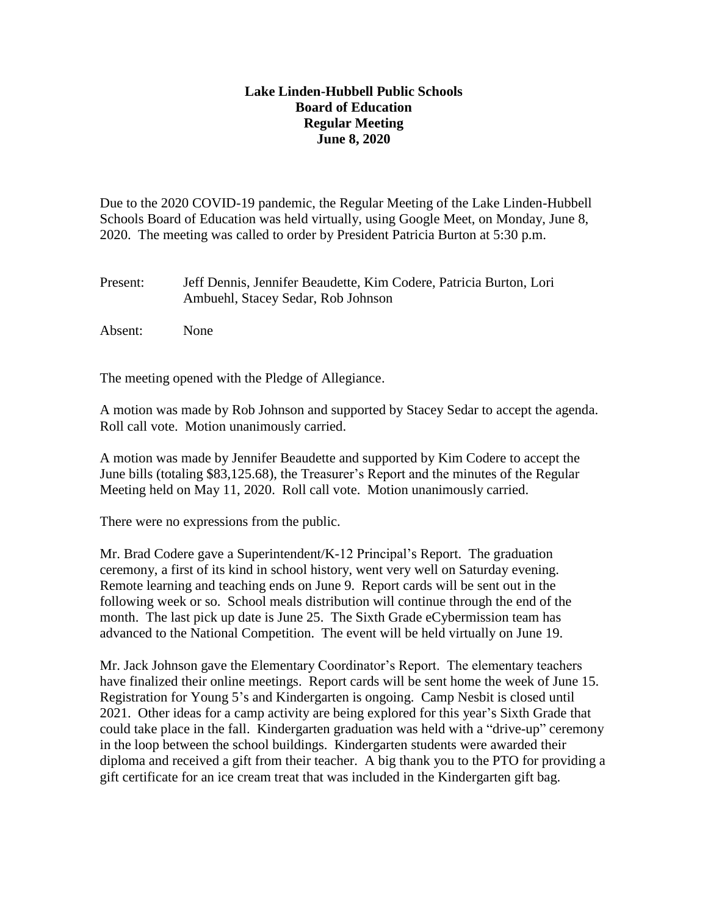## **Lake Linden-Hubbell Public Schools Board of Education Regular Meeting June 8, 2020**

Due to the 2020 COVID-19 pandemic, the Regular Meeting of the Lake Linden-Hubbell Schools Board of Education was held virtually, using Google Meet, on Monday, June 8, 2020. The meeting was called to order by President Patricia Burton at 5:30 p.m.

- Present: Jeff Dennis, Jennifer Beaudette, Kim Codere, Patricia Burton, Lori Ambuehl, Stacey Sedar, Rob Johnson
- Absent: None

The meeting opened with the Pledge of Allegiance.

A motion was made by Rob Johnson and supported by Stacey Sedar to accept the agenda. Roll call vote. Motion unanimously carried.

A motion was made by Jennifer Beaudette and supported by Kim Codere to accept the June bills (totaling \$83,125.68), the Treasurer's Report and the minutes of the Regular Meeting held on May 11, 2020. Roll call vote. Motion unanimously carried.

There were no expressions from the public.

Mr. Brad Codere gave a Superintendent/K-12 Principal's Report. The graduation ceremony, a first of its kind in school history, went very well on Saturday evening. Remote learning and teaching ends on June 9. Report cards will be sent out in the following week or so. School meals distribution will continue through the end of the month. The last pick up date is June 25. The Sixth Grade eCybermission team has advanced to the National Competition. The event will be held virtually on June 19.

Mr. Jack Johnson gave the Elementary Coordinator's Report. The elementary teachers have finalized their online meetings. Report cards will be sent home the week of June 15. Registration for Young 5's and Kindergarten is ongoing. Camp Nesbit is closed until 2021. Other ideas for a camp activity are being explored for this year's Sixth Grade that could take place in the fall. Kindergarten graduation was held with a "drive-up" ceremony in the loop between the school buildings. Kindergarten students were awarded their diploma and received a gift from their teacher. A big thank you to the PTO for providing a gift certificate for an ice cream treat that was included in the Kindergarten gift bag.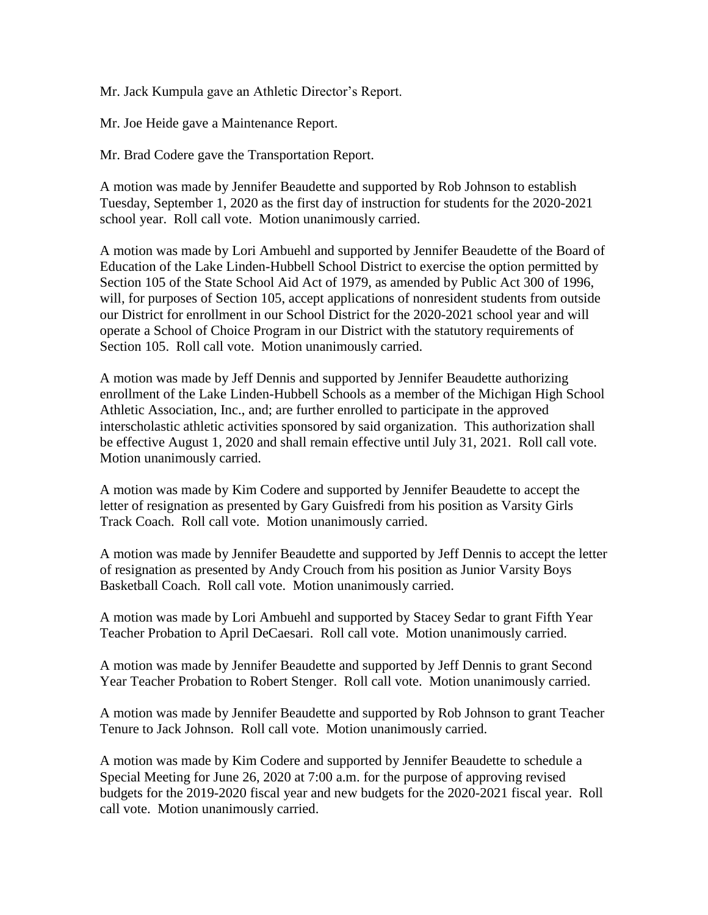Mr. Jack Kumpula gave an Athletic Director's Report.

Mr. Joe Heide gave a Maintenance Report.

Mr. Brad Codere gave the Transportation Report.

A motion was made by Jennifer Beaudette and supported by Rob Johnson to establish Tuesday, September 1, 2020 as the first day of instruction for students for the 2020-2021 school year. Roll call vote. Motion unanimously carried.

A motion was made by Lori Ambuehl and supported by Jennifer Beaudette of the Board of Education of the Lake Linden-Hubbell School District to exercise the option permitted by Section 105 of the State School Aid Act of 1979, as amended by Public Act 300 of 1996, will, for purposes of Section 105, accept applications of nonresident students from outside our District for enrollment in our School District for the 2020-2021 school year and will operate a School of Choice Program in our District with the statutory requirements of Section 105. Roll call vote. Motion unanimously carried.

A motion was made by Jeff Dennis and supported by Jennifer Beaudette authorizing enrollment of the Lake Linden-Hubbell Schools as a member of the Michigan High School Athletic Association, Inc., and; are further enrolled to participate in the approved interscholastic athletic activities sponsored by said organization. This authorization shall be effective August 1, 2020 and shall remain effective until July 31, 2021. Roll call vote. Motion unanimously carried.

A motion was made by Kim Codere and supported by Jennifer Beaudette to accept the letter of resignation as presented by Gary Guisfredi from his position as Varsity Girls Track Coach. Roll call vote. Motion unanimously carried.

A motion was made by Jennifer Beaudette and supported by Jeff Dennis to accept the letter of resignation as presented by Andy Crouch from his position as Junior Varsity Boys Basketball Coach. Roll call vote. Motion unanimously carried.

A motion was made by Lori Ambuehl and supported by Stacey Sedar to grant Fifth Year Teacher Probation to April DeCaesari. Roll call vote. Motion unanimously carried.

A motion was made by Jennifer Beaudette and supported by Jeff Dennis to grant Second Year Teacher Probation to Robert Stenger. Roll call vote. Motion unanimously carried.

A motion was made by Jennifer Beaudette and supported by Rob Johnson to grant Teacher Tenure to Jack Johnson. Roll call vote. Motion unanimously carried.

A motion was made by Kim Codere and supported by Jennifer Beaudette to schedule a Special Meeting for June 26, 2020 at 7:00 a.m. for the purpose of approving revised budgets for the 2019-2020 fiscal year and new budgets for the 2020-2021 fiscal year. Roll call vote. Motion unanimously carried.